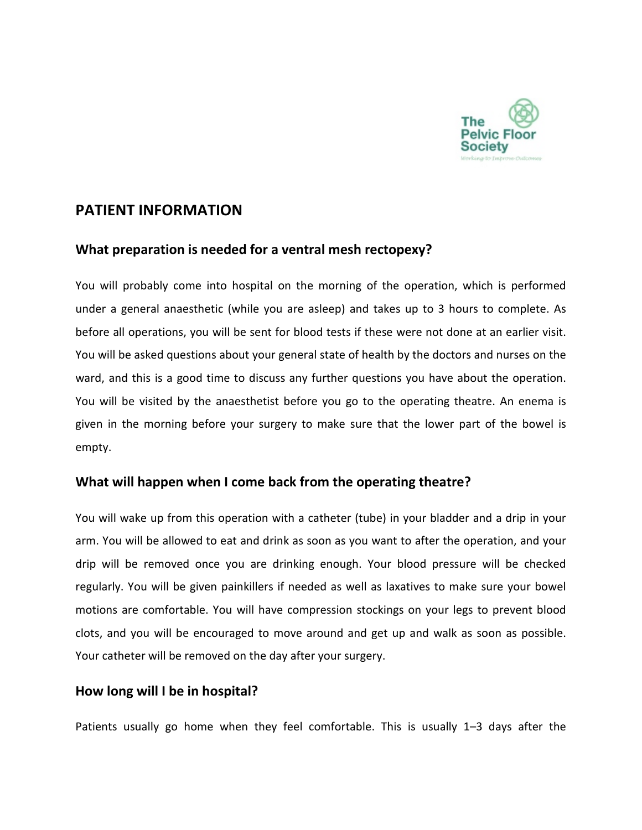

# **PATIENT INFORMATION**

### **What preparation is needed for a ventral mesh rectopexy?**

You will probably come into hospital on the morning of the operation, which is performed under a general anaesthetic (while you are asleep) and takes up to 3 hours to complete. As before all operations, you will be sent for blood tests if these were not done at an earlier visit. You will be asked questions about your general state of health by the doctors and nurses on the ward, and this is a good time to discuss any further questions you have about the operation. You will be visited by the anaesthetist before you go to the operating theatre. An enema is given in the morning before your surgery to make sure that the lower part of the bowel is empty.

### **What will happen when I come back from the operating theatre?**

You will wake up from this operation with a catheter (tube) in your bladder and a drip in your arm. You will be allowed to eat and drink as soon as you want to after the operation, and your drip will be removed once you are drinking enough. Your blood pressure will be checked regularly. You will be given painkillers if needed as well as laxatives to make sure your bowel motions are comfortable. You will have compression stockings on your legs to prevent blood clots, and you will be encouraged to move around and get up and walk as soon as possible. Your catheter will be removed on the day after your surgery.

### **How long will I be in hospital?**

Patients usually go home when they feel comfortable. This is usually 1–3 days after the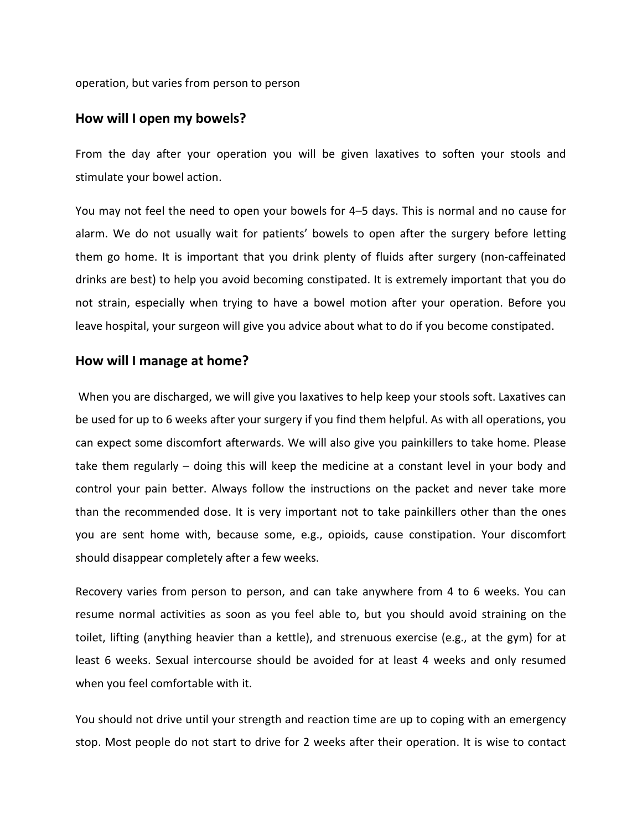operation, but varies from person to person

#### **How will I open my bowels?**

From the day after your operation you will be given laxatives to soften your stools and stimulate your bowel action.

You may not feel the need to open your bowels for 4–5 days. This is normal and no cause for alarm. We do not usually wait for patients' bowels to open after the surgery before letting them go home. It is important that you drink plenty of fluids after surgery (non-caffeinated drinks are best) to help you avoid becoming constipated. It is extremely important that you do not strain, especially when trying to have a bowel motion after your operation. Before you leave hospital, your surgeon will give you advice about what to do if you become constipated.

#### **How will I manage at home?**

When you are discharged, we will give you laxatives to help keep your stools soft. Laxatives can be used for up to 6 weeks after your surgery if you find them helpful. As with all operations, you can expect some discomfort afterwards. We will also give you painkillers to take home. Please take them regularly – doing this will keep the medicine at a constant level in your body and control your pain better. Always follow the instructions on the packet and never take more than the recommended dose. It is very important not to take painkillers other than the ones you are sent home with, because some, e.g., opioids, cause constipation. Your discomfort should disappear completely after a few weeks.

Recovery varies from person to person, and can take anywhere from 4 to 6 weeks. You can resume normal activities as soon as you feel able to, but you should avoid straining on the toilet, lifting (anything heavier than a kettle), and strenuous exercise (e.g., at the gym) for at least 6 weeks. Sexual intercourse should be avoided for at least 4 weeks and only resumed when you feel comfortable with it.

You should not drive until your strength and reaction time are up to coping with an emergency stop. Most people do not start to drive for 2 weeks after their operation. It is wise to contact